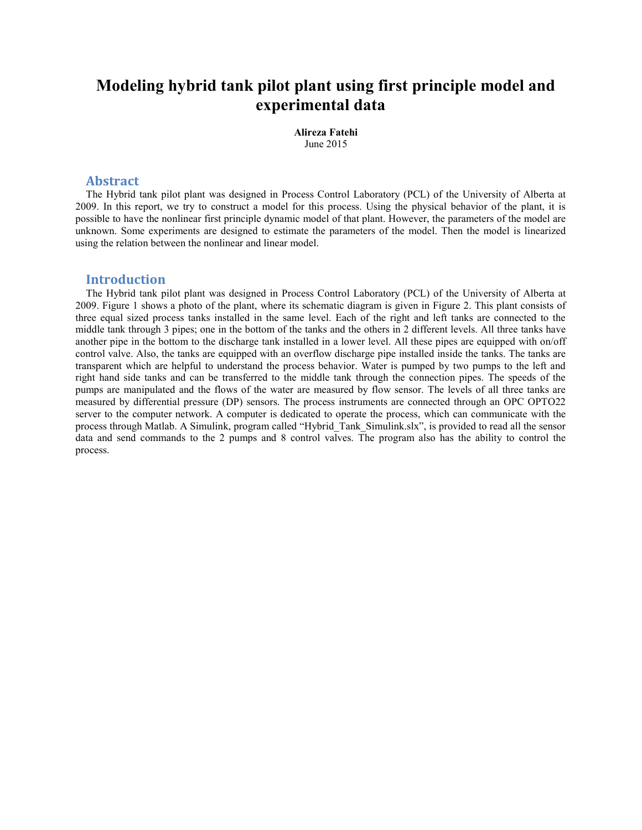# Modeling hybrid tank pilot plant using first principle model and experimental data

Alireza Fatehi June 2015

## Abstract

The Hybrid tank pilot plant was designed in Process Control Laboratory (PCL) of the University of Alberta at 2009. In this report, we try to construct a model for this process. Using the physical behavior of the plant, it is possible to have the nonlinear first principle dynamic model of that plant. However, the parameters of the model are unknown. Some experiments are designed to estimate the parameters of the model. Then the model is linearized using the relation between the nonlinear and linear model.

## Introduction

The Hybrid tank pilot plant was designed in Process Control Laboratory (PCL) of the University of Alberta at 2009. Figure 1 shows a photo of the plant, where its schematic diagram is given in Figure 2. This plant consists of three equal sized process tanks installed in the same level. Each of the right and left tanks are connected to the middle tank through 3 pipes; one in the bottom of the tanks and the others in 2 different levels. All three tanks have another pipe in the bottom to the discharge tank installed in a lower level. All these pipes are equipped with on/off control valve. Also, the tanks are equipped with an overflow discharge pipe installed inside the tanks. The tanks are transparent which are helpful to understand the process behavior. Water is pumped by two pumps to the left and right hand side tanks and can be transferred to the middle tank through the connection pipes. The speeds of the pumps are manipulated and the flows of the water are measured by flow sensor. The levels of all three tanks are measured by differential pressure (DP) sensors. The process instruments are connected through an OPC OPTO22 server to the computer network. A computer is dedicated to operate the process, which can communicate with the process through Matlab. A Simulink, program called "Hybrid Tank Simulink.slx", is provided to read all the sensor data and send commands to the 2 pumps and 8 control valves. The program also has the ability to control the process.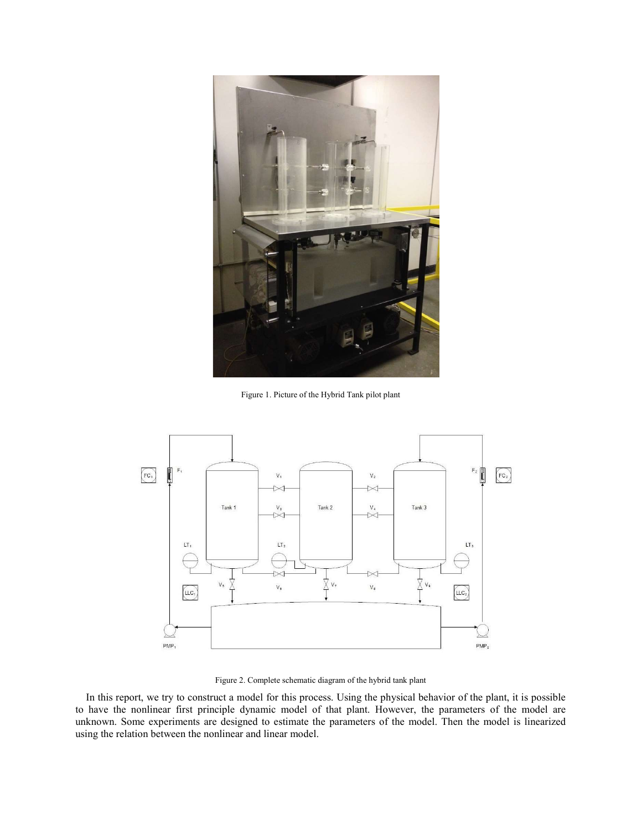

Figure 1. Picture of the Hybrid Tank pilot plant



Figure 2. Complete schematic diagram of the hybrid tank plant

In this report, we try to construct a model for this process. Using the physical behavior of the plant, it is possible to have the nonlinear first principle dynamic model of that plant. However, the parameters of the model are unknown. Some experiments are designed to estimate the parameters of the model. Then the model is linearized using the relation between the nonlinear and linear model.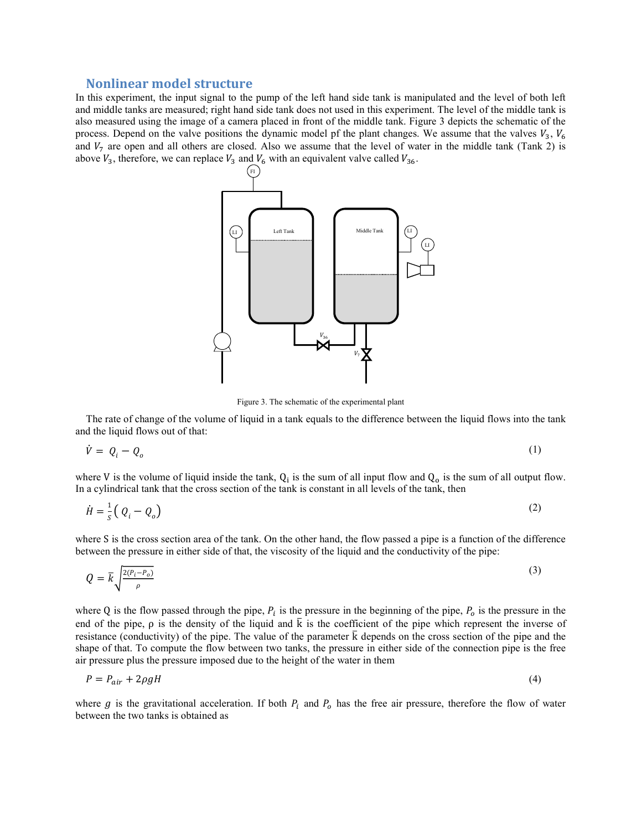## Nonlinear model structure

In this experiment, the input signal to the pump of the left hand side tank is manipulated and the level of both left and middle tanks are measured; right hand side tank does not used in this experiment. The level of the middle tank is also measured using the image of a camera placed in front of the middle tank. Figure 3 depicts the schematic of the process. Depend on the valve positions the dynamic model pf the plant changes. We assume that the valves  $V_3$ ,  $V_6$ and  $V_7$  are open and all others are closed. Also we assume that the level of water in the middle tank (Tank 2) is above  $V_3$ , therefore, we can replace  $V_3$  and  $V_6$  with an equivalent valve called  $V_{36}$ .



Figure 3. The schematic of the experimental plant

The rate of change of the volume of liquid in a tank equals to the difference between the liquid flows into the tank and the liquid flows out of that:

$$
\dot{V} = Q_i - Q_o \tag{1}
$$

where V is the volume of liquid inside the tank,  $Q_i$  is the sum of all input flow and  $Q_o$  is the sum of all output flow. In a cylindrical tank that the cross section of the tank is constant in all levels of the tank, then

$$
\dot{H} = \frac{1}{s} \left( Q_i - Q_o \right) \tag{2}
$$

where S is the cross section area of the tank. On the other hand, the flow passed a pipe is a function of the difference between the pressure in either side of that, the viscosity of the liquid and the conductivity of the pipe:

$$
Q = \bar{k} \sqrt{\frac{2(P_i - P_o)}{\rho}}
$$
 (3)

where Q is the flow passed through the pipe,  $P_i$  is the pressure in the beginning of the pipe,  $P_o$  is the pressure in the end of the pipe,  $\rho$  is the density of the liquid and  $\overline{k}$  is the coefficient of the pipe which represent the inverse of resistance (conductivity) of the pipe. The value of the parameter  $\bar{k}$  depends on the cross section of the pipe and the shape of that. To compute the flow between two tanks, the pressure in either side of the connection pipe is the free air pressure plus the pressure imposed due to the height of the water in them

$$
P = P_{air} + 2\rho gH \tag{4}
$$

where  $g$  is the gravitational acceleration. If both  $P_i$  and  $P_o$  has the free air pressure, therefore the flow of water between the two tanks is obtained as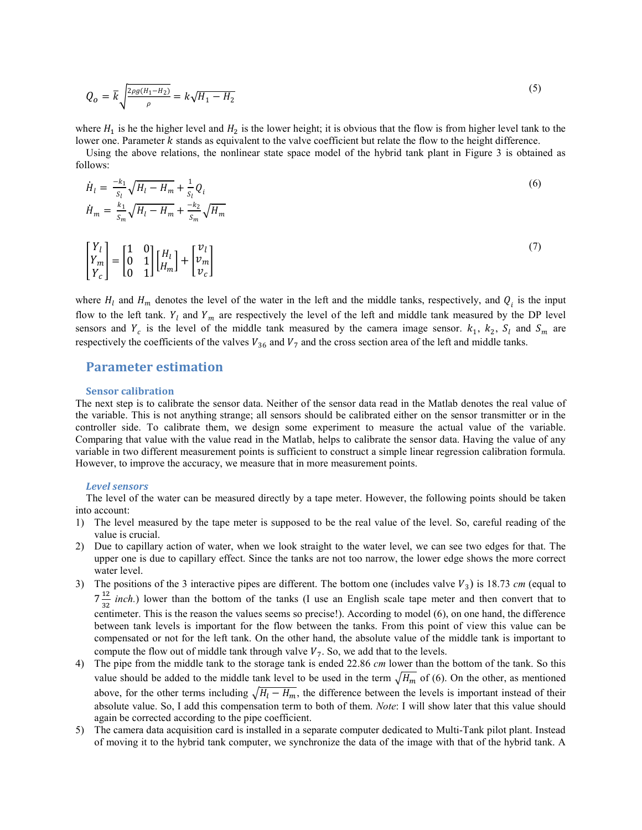$$
Q_o = \bar{k} \sqrt{\frac{2\rho g (H_1 - H_2)}{\rho}} = k \sqrt{H_1 - H_2}
$$
\n(5)

where  $H_1$  is he the higher level and  $H_2$  is the lower height; it is obvious that the flow is from higher level tank to the lower one. Parameter *k* stands as equivalent to the valve coefficient but relate the flow to the height difference.

Using the above relations, the nonlinear state space model of the hybrid tank plant in Figure 3 is obtained as follows:

$$
\dot{H}_l = \frac{-k_1}{s_l} \sqrt{H_l - H_m} + \frac{1}{s_l} Q_i
$$
\n
$$
\dot{H}_m = \frac{k_1}{s_m} \sqrt{H_l - H_m} + \frac{-k_2}{s_m} \sqrt{H_m}
$$
\n(6)

$$
\begin{bmatrix} Y_l \\ Y_m \\ Y_c \end{bmatrix} = \begin{bmatrix} 1 & 0 \\ 0 & 1 \\ 0 & 1 \end{bmatrix} \begin{bmatrix} H_l \\ H_m \end{bmatrix} + \begin{bmatrix} v_l \\ v_m \\ v_c \end{bmatrix}
$$
\n
$$
\tag{7}
$$

where  $H_l$  and  $H_m$  denotes the level of the water in the left and the middle tanks, respectively, and  $Q_i$  is the input flow to the left tank.  $Y_l$  and  $Y_m$  are respectively the level of the left and middle tank measured by the DP level sensors and  $Y_c$  is the level of the middle tank measured by the camera image sensor.  $k_1$ ,  $k_2$ ,  $S_l$  and  $S_m$  are respectively the coefficients of the valves  $V_{36}$  and  $V_7$  and the cross section area of the left and middle tanks.

# Parameter estimation

#### Sensor calibration

The next step is to calibrate the sensor data. Neither of the sensor data read in the Matlab denotes the real value of the variable. This is not anything strange; all sensors should be calibrated either on the sensor transmitter or in the controller side. To calibrate them, we design some experiment to measure the actual value of the variable. Comparing that value with the value read in the Matlab, helps to calibrate the sensor data. Having the value of any variable in two different measurement points is sufficient to construct a simple linear regression calibration formula. However, to improve the accuracy, we measure that in more measurement points.

#### Level sensors

The level of the water can be measured directly by a tape meter. However, the following points should be taken into account:

- 1) The level measured by the tape meter is supposed to be the real value of the level. So, careful reading of the value is crucial.
- 2) Due to capillary action of water, when we look straight to the water level, we can see two edges for that. The upper one is due to capillary effect. Since the tanks are not too narrow, the lower edge shows the more correct water level.
- 3) The positions of the 3 interactive pipes are different. The bottom one (includes valve  $V_3$ ) is 18.73 *cm* (equal to  $7\frac{12}{22}$  $\frac{12}{32}$  inch.) lower than the bottom of the tanks (I use an English scale tape meter and then convert that to centimeter. This is the reason the values seems so precise!). According to model (6), on one hand, the difference between tank levels is important for the flow between the tanks. From this point of view this value can be compensated or not for the left tank. On the other hand, the absolute value of the middle tank is important to compute the flow out of middle tank through valve  $V_7$ . So, we add that to the levels.
- 4) The pipe from the middle tank to the storage tank is ended 22.86 cm lower than the bottom of the tank. So this value should be added to the middle tank level to be used in the term  $\sqrt{H_m}$  of (6). On the other, as mentioned above, for the other terms including  $\sqrt{H_1 - H_m}$ , the difference between the levels is important instead of their absolute value. So, I add this compensation term to both of them. Note: I will show later that this value should again be corrected according to the pipe coefficient.
- 5) The camera data acquisition card is installed in a separate computer dedicated to Multi-Tank pilot plant. Instead of moving it to the hybrid tank computer, we synchronize the data of the image with that of the hybrid tank. A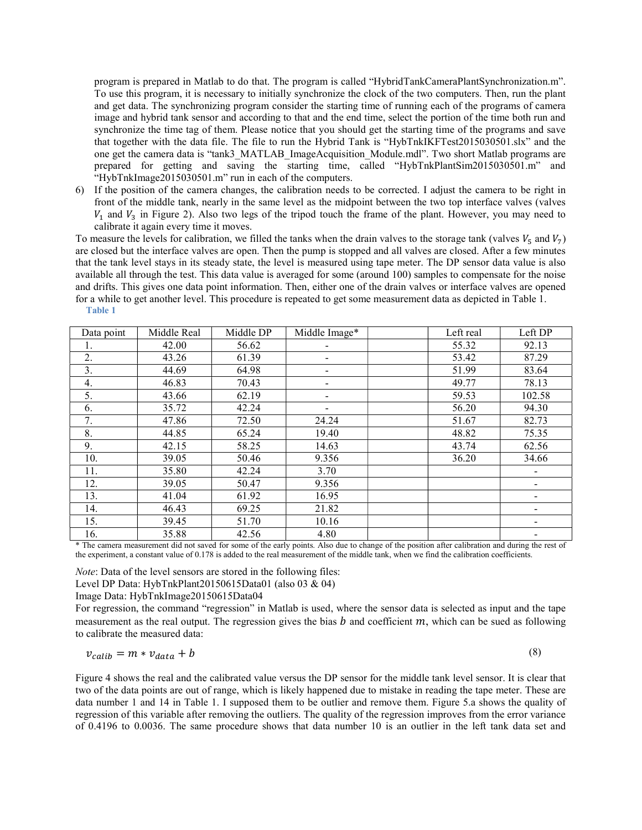program is prepared in Matlab to do that. The program is called "HybridTankCameraPlantSynchronization.m". To use this program, it is necessary to initially synchronize the clock of the two computers. Then, run the plant and get data. The synchronizing program consider the starting time of running each of the programs of camera image and hybrid tank sensor and according to that and the end time, select the portion of the time both run and synchronize the time tag of them. Please notice that you should get the starting time of the programs and save that together with the data file. The file to run the Hybrid Tank is "HybTnkIKFTest2015030501.slx" and the one get the camera data is "tank3\_MATLAB\_ImageAcquisition\_Module.mdl". Two short Matlab programs are prepared for getting and saving the starting time, called "HybTnkPlantSim2015030501.m" and "HybTnkImage2015030501.m" run in each of the computers.

6) If the position of the camera changes, the calibration needs to be corrected. I adjust the camera to be right in front of the middle tank, nearly in the same level as the midpoint between the two top interface valves (valves  $V_1$  and  $V_3$  in Figure 2). Also two legs of the tripod touch the frame of the plant. However, you may need to calibrate it again every time it moves.

To measure the levels for calibration, we filled the tanks when the drain valves to the storage tank (valves  $V_5$  and  $V_7$ ) are closed but the interface valves are open. Then the pump is stopped and all valves are closed. After a few minutes that the tank level stays in its steady state, the level is measured using tape meter. The DP sensor data value is also available all through the test. This data value is averaged for some (around 100) samples to compensate for the noise and drifts. This gives one data point information. Then, either one of the drain valves or interface valves are opened for a while to get another level. This procedure is repeated to get some measurement data as depicted in Table 1. Table 1

| Data point | Middle Real | Middle DP | Middle Image*            | Left real | Left DP |
|------------|-------------|-----------|--------------------------|-----------|---------|
| 1.         | 42.00       | 56.62     |                          | 55.32     | 92.13   |
| 2.         | 43.26       | 61.39     | $\overline{\phantom{a}}$ | 53.42     | 87.29   |
| 3.         | 44.69       | 64.98     | $\overline{\phantom{a}}$ | 51.99     | 83.64   |
| 4.         | 46.83       | 70.43     | $\overline{\phantom{a}}$ | 49.77     | 78.13   |
| 5.         | 43.66       | 62.19     | $\overline{\phantom{a}}$ | 59.53     | 102.58  |
| 6.         | 35.72       | 42.24     | $\overline{\phantom{a}}$ | 56.20     | 94.30   |
| 7.         | 47.86       | 72.50     | 24.24                    | 51.67     | 82.73   |
| 8.         | 44.85       | 65.24     | 19.40                    | 48.82     | 75.35   |
| 9.         | 42.15       | 58.25     | 14.63                    | 43.74     | 62.56   |
| 10.        | 39.05       | 50.46     | 9.356                    | 36.20     | 34.66   |
| 11.        | 35.80       | 42.24     | 3.70                     |           |         |
| 12.        | 39.05       | 50.47     | 9.356                    |           |         |
| 13.        | 41.04       | 61.92     | 16.95                    |           |         |
| 14.        | 46.43       | 69.25     | 21.82                    |           |         |
| 15.        | 39.45       | 51.70     | 10.16                    |           |         |
| 16.        | 35.88       | 42.56     | 4.80                     |           |         |

\* The camera measurement did not saved for some of the early points. Also due to change of the position after calibration and during the rest of the experiment, a constant value of 0.178 is added to the real measurement of the middle tank, when we find the calibration coefficients.

Note: Data of the level sensors are stored in the following files:

Level DP Data: HybTnkPlant20150615Data01 (also 03 & 04)

Image Data: HybTnkImage20150615Data04

For regression, the command "regression" in Matlab is used, where the sensor data is selected as input and the tape measurement as the real output. The regression gives the bias  $b$  and coefficient  $m$ , which can be sued as following to calibrate the measured data:

$$
v_{calib} = m * v_{data} + b \tag{8}
$$

Figure 4 shows the real and the calibrated value versus the DP sensor for the middle tank level sensor. It is clear that two of the data points are out of range, which is likely happened due to mistake in reading the tape meter. These are data number 1 and 14 in Table 1. I supposed them to be outlier and remove them. Figure 5.a shows the quality of regression of this variable after removing the outliers. The quality of the regression improves from the error variance of 0.4196 to 0.0036. The same procedure shows that data number 10 is an outlier in the left tank data set and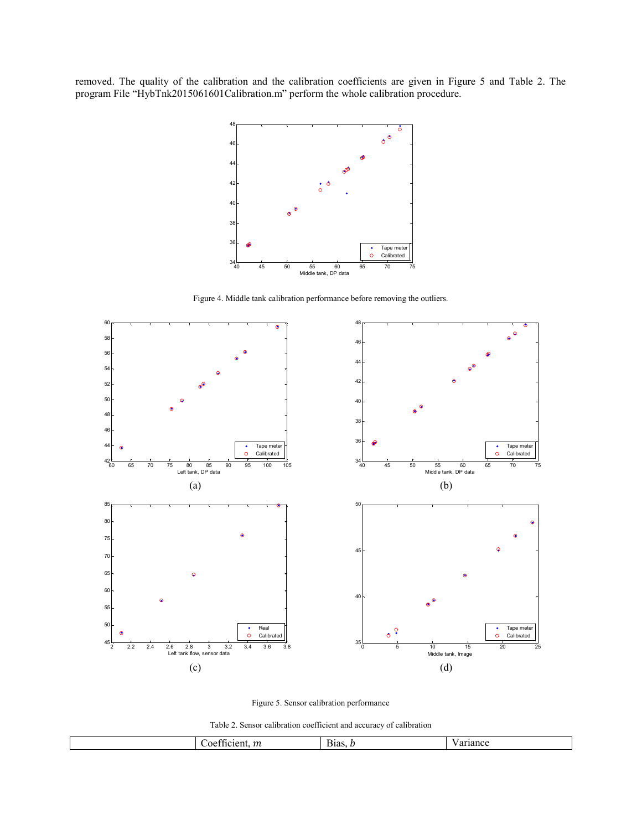removed. The quality of the calibration and the calibration coefficients are given in Figure 5 and Table 2. The program File "HybTnk2015061601Calibration.m" perform the whole calibration procedure.



Figure 4. Middle tank calibration performance before removing the outliers.





Table 2. Sensor calibration coefficient and accuracy of calibration

|  |  | $\sim$<br>$\boldsymbol{m}$<br>oe.<br>∵ienī.<br><br>$\overline{111}$ | $\overline{\phantom{a}}$<br>$B$ Has. | riance |
|--|--|---------------------------------------------------------------------|--------------------------------------|--------|
|--|--|---------------------------------------------------------------------|--------------------------------------|--------|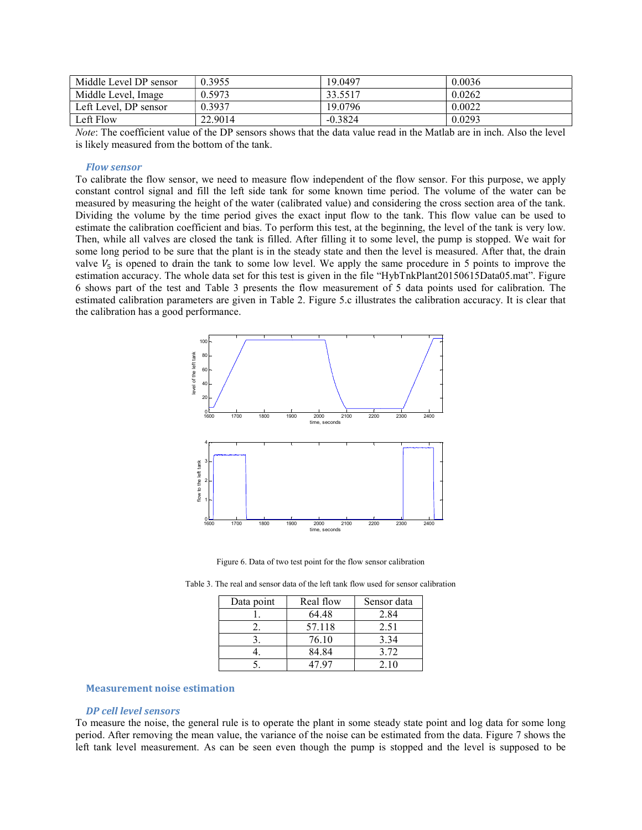| Middle Level DP sensor | 0.3955  | 19.0497   | 0.0036 |
|------------------------|---------|-----------|--------|
| Middle Level, Image    | 0.5973  | 33.5517   | 0.0262 |
| Left Level, DP sensor  | 0.3937  | 19.0796   | 0.0022 |
| Left Flow              | 22.9014 | $-0.3824$ | 0.0293 |

Note: The coefficient value of the DP sensors shows that the data value read in the Matlab are in inch. Also the level is likely measured from the bottom of the tank.

## Flow sensor

To calibrate the flow sensor, we need to measure flow independent of the flow sensor. For this purpose, we apply constant control signal and fill the left side tank for some known time period. The volume of the water can be measured by measuring the height of the water (calibrated value) and considering the cross section area of the tank. Dividing the volume by the time period gives the exact input flow to the tank. This flow value can be used to estimate the calibration coefficient and bias. To perform this test, at the beginning, the level of the tank is very low. Then, while all valves are closed the tank is filled. After filling it to some level, the pump is stopped. We wait for some long period to be sure that the plant is in the steady state and then the level is measured. After that, the drain valve  $V_5$  is opened to drain the tank to some low level. We apply the same procedure in 5 points to improve the estimation accuracy. The whole data set for this test is given in the file "HybTnkPlant20150615Data05.mat". Figure 6 shows part of the test and Table 3 presents the flow measurement of 5 data points used for calibration. The estimated calibration parameters are given in Table 2. Figure 5.c illustrates the calibration accuracy. It is clear that the calibration has a good performance.



Figure 6. Data of two test point for the flow sensor calibration

| Data point | Real flow | Sensor data |
|------------|-----------|-------------|
|            | 64.48     | 2.84        |
|            | 57.118    | 2.51        |
|            | 76.10     | 3.34        |
|            | 84.84     | 3.72        |
|            | 47 Q7     | 2.10        |

Table 3. The real and sensor data of the left tank flow used for sensor calibration

#### Measurement noise estimation

#### DP cell level sensors

To measure the noise, the general rule is to operate the plant in some steady state point and log data for some long period. After removing the mean value, the variance of the noise can be estimated from the data. Figure 7 shows the left tank level measurement. As can be seen even though the pump is stopped and the level is supposed to be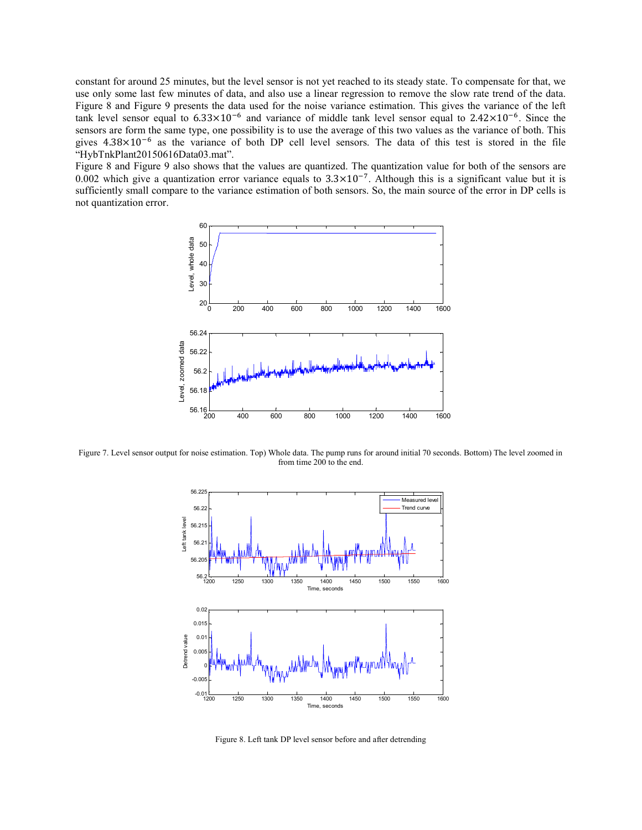constant for around 25 minutes, but the level sensor is not yet reached to its steady state. To compensate for that, we use only some last few minutes of data, and also use a linear regression to remove the slow rate trend of the data. Figure 8 and Figure 9 presents the data used for the noise variance estimation. This gives the variance of the left tank level sensor equal to  $6.33 \times 10^{-6}$  and variance of middle tank level sensor equal to  $2.42 \times 10^{-6}$ . Since the sensors are form the same type, one possibility is to use the average of this two values as the variance of both. This gives  $4.38 \times 10^{-6}$  as the variance of both DP cell level sensors. The data of this test is stored in the file "HybTnkPlant20150616Data03.mat".

Figure 8 and Figure 9 also shows that the values are quantized. The quantization value for both of the sensors are 0.002 which give a quantization error variance equals to  $3.3 \times 10^{-7}$ . Although this is a significant value but it is sufficiently small compare to the variance estimation of both sensors. So, the main source of the error in DP cells is not quantization error.



Figure 7. Level sensor output for noise estimation. Top) Whole data. The pump runs for around initial 70 seconds. Bottom) The level zoomed in from time 200 to the end.



Figure 8. Left tank DP level sensor before and after detrending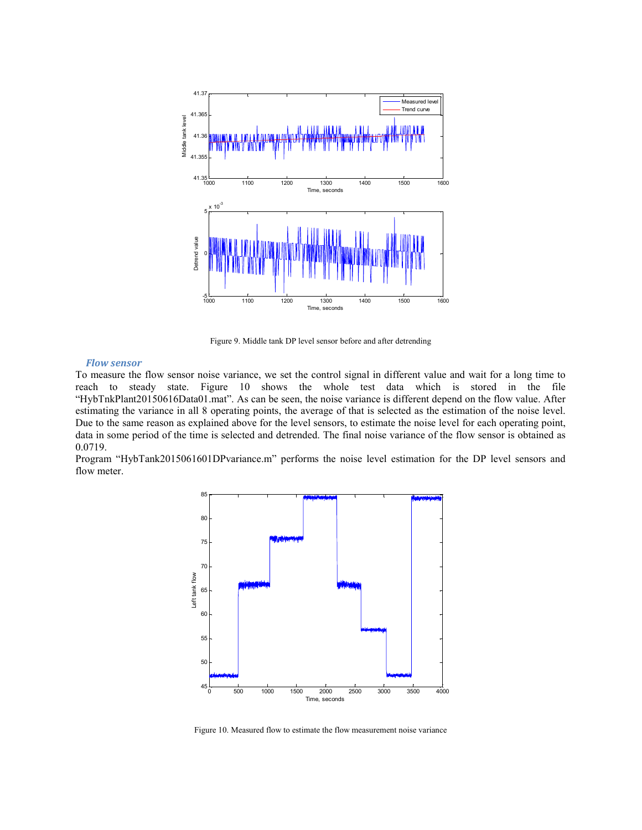

Figure 9. Middle tank DP level sensor before and after detrending

## Flow sensor

To measure the flow sensor noise variance, we set the control signal in different value and wait for a long time to reach to steady state. Figure 10 shows the whole test data which is stored in the file "HybTnkPlant20150616Data01.mat". As can be seen, the noise variance is different depend on the flow value. After estimating the variance in all 8 operating points, the average of that is selected as the estimation of the noise level. Due to the same reason as explained above for the level sensors, to estimate the noise level for each operating point, data in some period of the time is selected and detrended. The final noise variance of the flow sensor is obtained as 0.0719.

Program "HybTank2015061601DPvariance.m" performs the noise level estimation for the DP level sensors and flow meter.



Figure 10. Measured flow to estimate the flow measurement noise variance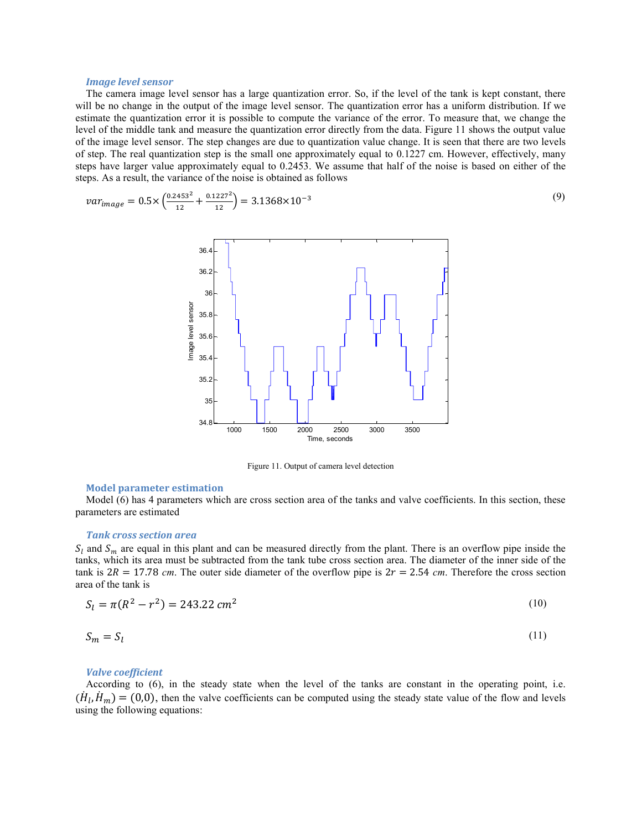#### Image level sensor

The camera image level sensor has a large quantization error. So, if the level of the tank is kept constant, there will be no change in the output of the image level sensor. The quantization error has a uniform distribution. If we estimate the quantization error it is possible to compute the variance of the error. To measure that, we change the level of the middle tank and measure the quantization error directly from the data. Figure 11 shows the output value of the image level sensor. The step changes are due to quantization value change. It is seen that there are two levels of step. The real quantization step is the small one approximately equal to 0.1227 cm. However, effectively, many steps have larger value approximately equal to 0.2453. We assume that half of the noise is based on either of the steps. As a result, the variance of the noise is obtained as follows

$$
var_{image} = 0.5 \times \left(\frac{0.2453^2}{12} + \frac{0.1227^2}{12}\right) = 3.1368 \times 10^{-3}
$$
\n(9)



Figure 11. Output of camera level detection

### Model parameter estimation

Model (6) has 4 parameters which are cross section area of the tanks and valve coefficients. In this section, these parameters are estimated

#### Tank cross section area

 $S_l$  and  $S_m$  are equal in this plant and can be measured directly from the plant. There is an overflow pipe inside the tanks, which its area must be subtracted from the tank tube cross section area. The diameter of the inner side of the tank is  $2R = 17.78$  cm. The outer side diameter of the overflow pipe is  $2r = 2.54$  cm. Therefore the cross section area of the tank is

$$
S_l = \pi (R^2 - r^2) = 243.22 \, \text{cm}^2 \tag{10}
$$

$$
S_m = S_l \tag{11}
$$

#### Valve coefficient

According to (6), in the steady state when the level of the tanks are constant in the operating point, i.e.  $(\dot{H}_l, \dot{H}_m) = (0,0)$ , then the valve coefficients can be computed using the steady state value of the flow and levels using the following equations: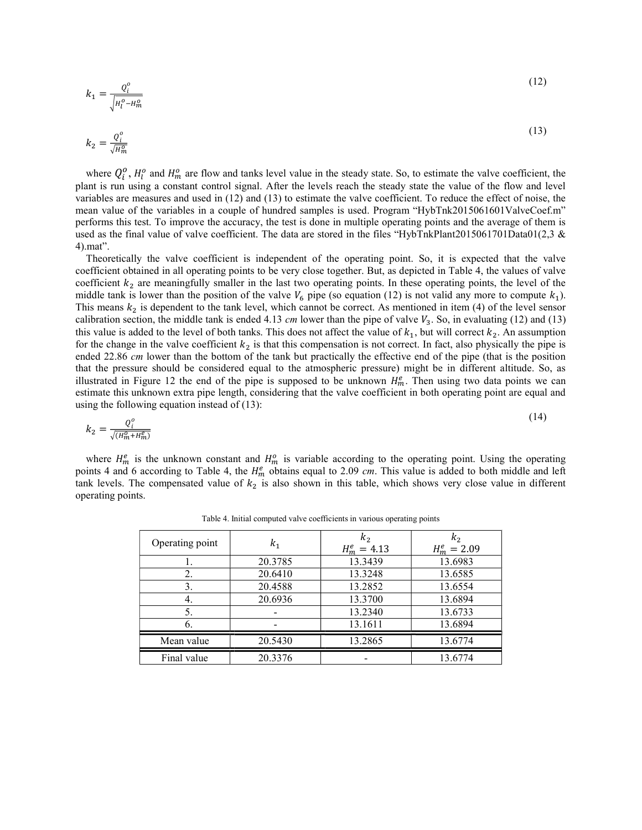$$
k_1 = \frac{Q_i^o}{\sqrt{H_i^o - H_m^o}}
$$
\n<sup>(12)</sup>

$$
k_2 = \frac{Q_i^o}{\sqrt{H_m^o}}
$$
\n<sup>(13)</sup>

where  $Q_i^o$ ,  $H_l^o$  and  $H_m^o$  are flow and tanks level value in the steady state. So, to estimate the valve coefficient, the plant is run using a constant control signal. After the levels reach the steady state the value of the flow and level variables are measures and used in (12) and (13) to estimate the valve coefficient. To reduce the effect of noise, the mean value of the variables in a couple of hundred samples is used. Program "HybTnk2015061601ValveCoef.m" performs this test. To improve the accuracy, the test is done in multiple operating points and the average of them is used as the final value of valve coefficient. The data are stored in the files "HybTnkPlant2015061701Data01(2,3 & 4).mat".

Theoretically the valve coefficient is independent of the operating point. So, it is expected that the valve coefficient obtained in all operating points to be very close together. But, as depicted in Table 4, the values of valve coefficient  $k_2$  are meaningfully smaller in the last two operating points. In these operating points, the level of the middle tank is lower than the position of the valve  $V_6$  pipe (so equation (12) is not valid any more to compute  $k_1$ ). This means  $k_2$  is dependent to the tank level, which cannot be correct. As mentioned in item (4) of the level sensor calibration section, the middle tank is ended 4.13  $cm$  lower than the pipe of valve  $V_3$ . So, in evaluating (12) and (13) this value is added to the level of both tanks. This does not affect the value of  $k_1$ , but will correct  $k_2$ . An assumption for the change in the valve coefficient  $k_2$  is that this compensation is not correct. In fact, also physically the pipe is ended 22.86 cm lower than the bottom of the tank but practically the effective end of the pipe (that is the position that the pressure should be considered equal to the atmospheric pressure) might be in different altitude. So, as illustrated in Figure 12 the end of the pipe is supposed to be unknown  $H_m^e$ . Then using two data points we can estimate this unknown extra pipe length, considering that the valve coefficient in both operating point are equal and using the following equation instead of (13):

$$
k_2 = \frac{Q_i^o}{\sqrt{(H_m^o + H_m^e)}}
$$
\n<sup>(14)</sup>

where  $H_m^e$  is the unknown constant and  $H_m^o$  is variable according to the operating point. Using the operating points 4 and 6 according to Table 4, the  $H_m^e$  obtains equal to 2.09 cm. This value is added to both middle and left tank levels. The compensated value of  $k_2$  is also shown in this table, which shows very close value in different operating points.

| Operating point | k <sub>1</sub> | k <sub>2</sub><br>$H_m^e = 4.13$ | k <sub>2</sub><br>$H_m^e = 2.09$ |
|-----------------|----------------|----------------------------------|----------------------------------|
|                 | 20.3785        | 13.3439                          | 13.6983                          |
| 2.              | 20.6410        | 13.3248                          | 13.6585                          |
| 3.              | 20.4588        | 13.2852                          | 13.6554                          |
| 4.              | 20.6936        | 13.3700                          | 13.6894                          |
| 5.              |                | 13.2340                          | 13.6733                          |
| 6.              |                | 13.1611                          | 13.6894                          |
| Mean value      | 20.5430        | 13.2865                          | 13.6774                          |
| Final value     | 20.3376        |                                  | 13.6774                          |

Table 4. Initial computed valve coefficients in various operating points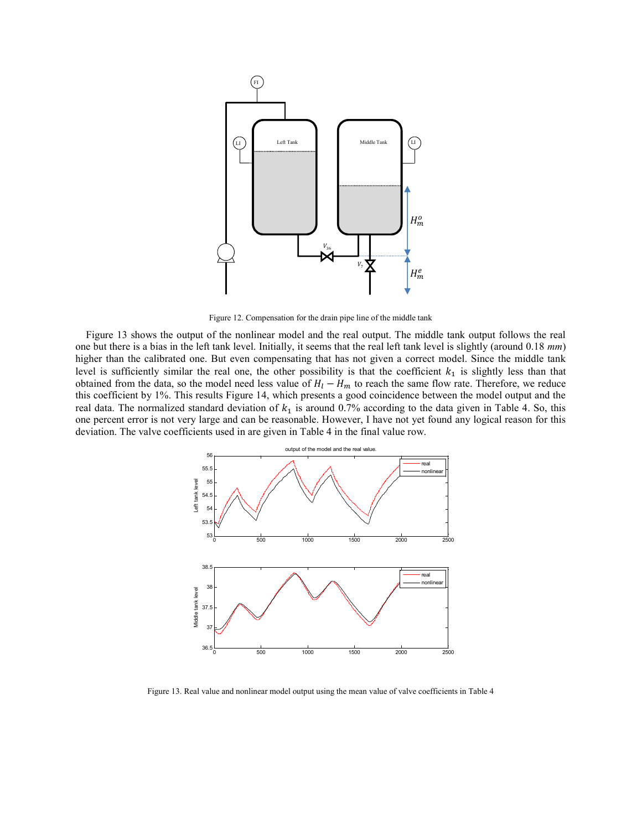

Figure 12. Compensation for the drain pipe line of the middle tank

Figure 13 shows the output of the nonlinear model and the real output. The middle tank output follows the real one but there is a bias in the left tank level. Initially, it seems that the real left tank level is slightly (around  $0.18 \, \text{mm}$ ) higher than the calibrated one. But even compensating that has not given a correct model. Since the middle tank level is sufficiently similar the real one, the other possibility is that the coefficient  $k_1$  is slightly less than that obtained from the data, so the model need less value of  $H_l - H_m$  to reach the same flow rate. Therefore, we reduce this coefficient by 1%. This results Figure 14, which presents a good coincidence between the model output and the real data. The normalized standard deviation of  $k_1$  is around 0.7% according to the data given in Table 4. So, this one percent error is not very large and can be reasonable. However, I have not yet found any logical reason for this deviation. The valve coefficients used in are given in Table 4 in the final value row.



Figure 13. Real value and nonlinear model output using the mean value of valve coefficients in Table 4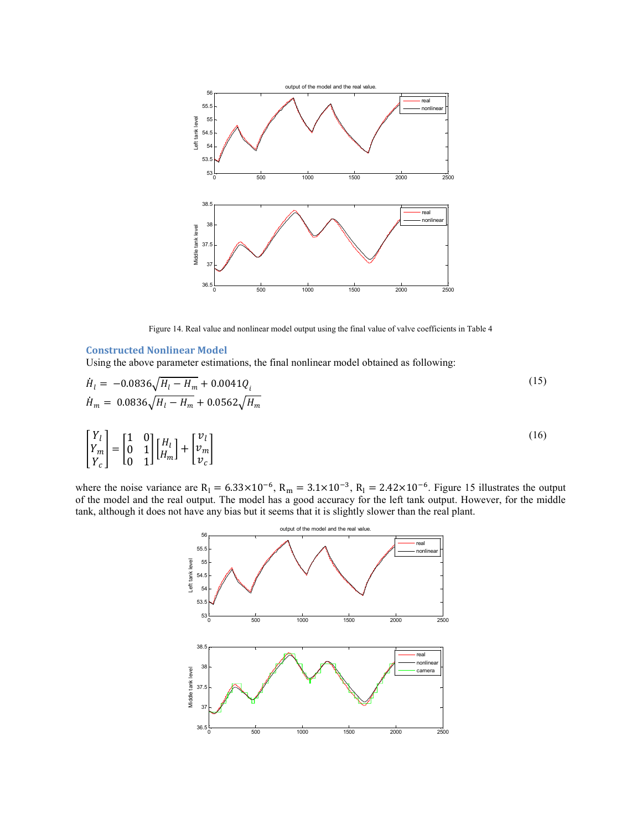

Figure 14. Real value and nonlinear model output using the final value of valve coefficients in Table 4

### Constructed Nonlinear Model

Using the above parameter estimations, the final nonlinear model obtained as following:

$$
\dot{H}_l = -0.0836\sqrt{H_l - H_m} + 0.0041Q_i
$$
\n
$$
\dot{H}_m = 0.0836\sqrt{H_l - H_m} + 0.0562\sqrt{H_m}
$$
\n
$$
\begin{bmatrix} Y_l \\ Y_m \\ Y_c \end{bmatrix} = \begin{bmatrix} 1 & 0 \\ 0 & 1 \\ 0 & 1 \end{bmatrix} \begin{bmatrix} H_l \\ H_m \end{bmatrix} + \begin{bmatrix} v_l \\ v_m \\ v_c \end{bmatrix}
$$
\n(16)

where the noise variance are  $R_1 = 6.33 \times 10^{-6}$ ,  $R_m = 3.1 \times 10^{-3}$ ,  $R_1 = 2.42 \times 10^{-6}$ . Figure 15 illustrates the output of the model and the real output. The model has a good accuracy for the left tank output. However, for the middle tank, although it does not have any bias but it seems that it is slightly slower than the real plant.

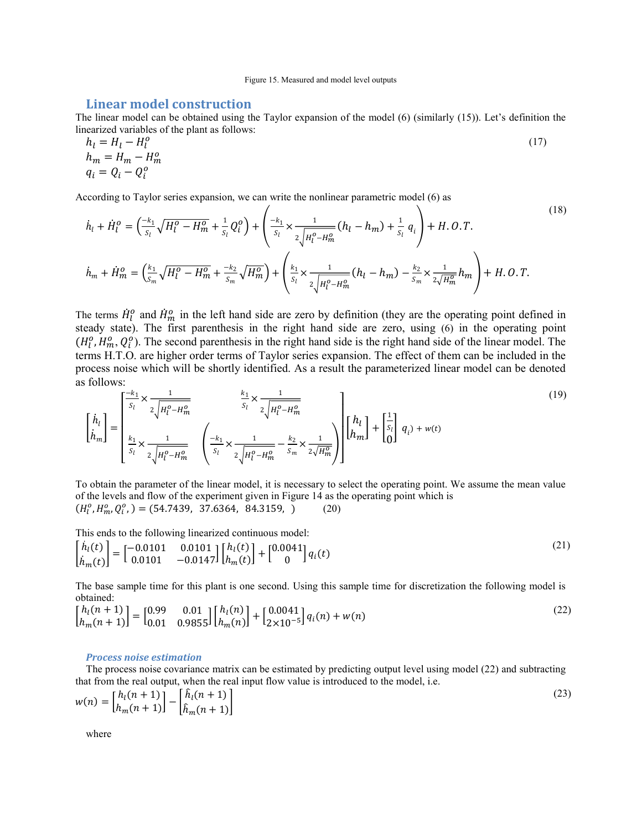## Linear model construction

The linear model can be obtained using the Taylor expansion of the model (6) (similarly (15)). Let's definition the linearized variables of the plant as follows:

$$
h_l = H_l - H_l^o
$$
  
\n
$$
h_m = H_m - H_m^o
$$
  
\n
$$
q_i = Q_i - Q_i^o
$$
\n(17)

According to Taylor series expansion, we can write the nonlinear parametric model (6) as

$$
\dot{h}_{l} + \dot{H}_{l}^{o} = \left(\frac{-k_{1}}{s_{l}}\sqrt{H_{l}^{o} - H_{m}^{o}} + \frac{1}{s_{l}}Q_{l}^{o}\right) + \left(\frac{-k_{1}}{s_{l}} \times \frac{1}{2\sqrt{H_{l}^{o} - H_{m}^{o}}} (h_{l} - h_{m}) + \frac{1}{s_{l}} q_{i}\right) + H. 0. T.
$$
\n
$$
\dot{h}_{m} + \dot{H}_{m}^{o} = \left(\frac{k_{1}}{s_{m}}\sqrt{H_{l}^{o} - H_{m}^{o}} + \frac{-k_{2}}{s_{m}}\sqrt{H_{m}^{o}}\right) + \left(\frac{k_{1}}{s_{l}} \times \frac{1}{2\sqrt{H_{l}^{o} - H_{m}^{o}}} (h_{l} - h_{m}) - \frac{k_{2}}{s_{m}} \times \frac{1}{2\sqrt{H_{m}^{o}}} h_{m}\right) + H. 0. T.
$$
\n(18)

The terms  $\dot{H}_l^0$  and  $\dot{H}_m^0$  in the left hand side are zero by definition (they are the operating point defined in steady state). The first parenthesis in the right hand side are zero, using (6) in the operating point  $(H_l^0, H_m^0, Q_l^0)$ . The second parenthesis in the right hand side is the right hand side of the linear model. The terms H.T.O. are higher order terms of Taylor series expansion. The effect of them can be included in the process noise which will be shortly identified. As a result the parameterized linear model can be denoted as follows:

$$
\begin{bmatrix} \dot{h}_{l} \\ \dot{h}_{m} \end{bmatrix} = \begin{bmatrix} \frac{-k_{1}}{s_{l}} \times \frac{1}{2\sqrt{H_{l}^{0} - H_{m}^{0}}} & \frac{k_{1}}{s_{l}} \times \frac{1}{2\sqrt{H_{l}^{0} - H_{m}^{0}}}\\ \frac{k_{1}}{s_{l}} \times \frac{1}{2\sqrt{H_{l}^{0} - H_{m}^{0}}} & \left( \frac{-k_{1}}{s_{l}} \times \frac{1}{2\sqrt{H_{l}^{0} - H_{m}^{0}}} - \frac{k_{2}}{s_{m}} \times \frac{1}{2\sqrt{H_{m}^{0}}} \right) \end{bmatrix} \begin{bmatrix} h_{l} \\ h_{m} \end{bmatrix} + \begin{bmatrix} \frac{1}{s_{l}} \\ 0 \end{bmatrix} q_{i} + w(t) \tag{19}
$$

To obtain the parameter of the linear model, it is necessary to select the operating point. We assume the mean value of the levels and flow of the experiment given in Figure 14 as the operating point which is  $(H_l^o, H_m^o, Q_l^o) = (54.7439, 37.6364, 84.3159, )$  (20)

This ends to the following linearized continuous model:

$$
\begin{bmatrix} \dot{h}_l(t) \\ \dot{h}_m(t) \end{bmatrix} = \begin{bmatrix} -0.0101 & 0.0101 \\ 0.0101 & -0.0147 \end{bmatrix} \begin{bmatrix} h_l(t) \\ h_m(t) \end{bmatrix} + \begin{bmatrix} 0.0041 \\ 0 \end{bmatrix} q_i(t)
$$
\n(21)

The base sample time for this plant is one second. Using this sample time for discretization the following model is obtained:

$$
\begin{bmatrix} h_l(n+1) \\ h_m(n+1) \end{bmatrix} = \begin{bmatrix} 0.99 & 0.01 \\ 0.01 & 0.9855 \end{bmatrix} \begin{bmatrix} h_l(n) \\ h_m(n) \end{bmatrix} + \begin{bmatrix} 0.0041 \\ 2 \times 10^{-5} \end{bmatrix} q_i(n) + w(n)
$$
\n(22)

#### Process noise estimation

The process noise covariance matrix can be estimated by predicting output level using model (22) and subtracting that from the real output, when the real input flow value is introduced to the model, i.e.

$$
w(n) = \begin{bmatrix} h_l(n+1) \\ h_m(n+1) \end{bmatrix} - \begin{bmatrix} \hat{h}_l(n+1) \\ \hat{h}_m(n+1) \end{bmatrix}
$$
\n(23)

where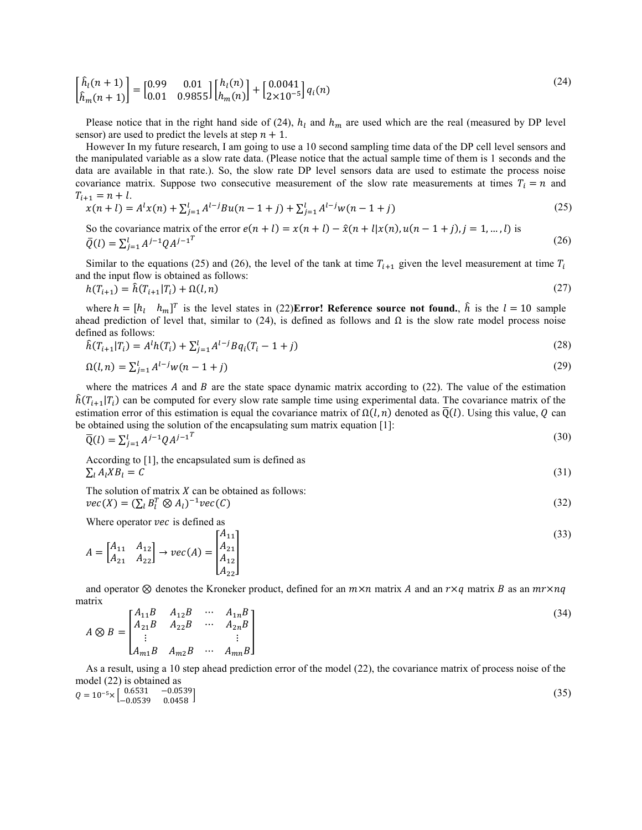$$
\begin{bmatrix} \hat{h}_l(n+1) \\ \hat{h}_m(n+1) \end{bmatrix} = \begin{bmatrix} 0.99 & 0.01 \\ 0.01 & 0.9855 \end{bmatrix} \begin{bmatrix} h_l(n) \\ h_m(n) \end{bmatrix} + \begin{bmatrix} 0.0041 \\ 2 \times 10^{-5} \end{bmatrix} q_i(n)
$$
\n(24)

Please notice that in the right hand side of (24),  $h_l$  and  $h_m$  are used which are the real (measured by DP level sensor) are used to predict the levels at step  $n + 1$ .

However In my future research, I am going to use a 10 second sampling time data of the DP cell level sensors and the manipulated variable as a slow rate data. (Please notice that the actual sample time of them is 1 seconds and the data are available in that rate.). So, the slow rate DP level sensors data are used to estimate the process noise covariance matrix. Suppose two consecutive measurement of the slow rate measurements at times  $T_i = n$  and  $T_{i+1} = n + l$ .

$$
x(n+l) = Al x(n) + \sum_{j=1}^{l} A^{l-j} Bu(n-1+j) + \sum_{j=1}^{l} A^{l-j} w(n-1+j)
$$
 (25)

So the covariance matrix of the error  $e(n+l) = x(n+l) - \hat{x}(n+l)x(n), u(n-1+j), j = 1, ..., l$  is  $\bar{Q}(l) = \sum_{j=1}^{l} A^{j-1} Q A^{j-1}^{T}$ (26)

Similar to the equations (25) and (26), the level of the tank at time  $T_{i+1}$  given the level measurement at time  $T_i$ and the input flow is obtained as follows:

$$
h(T_{i+1}) = \hat{h}(T_{i+1}|T_i) + \Omega(l,n) \tag{27}
$$

where  $h = [h_l \quad h_m]^T$  is the level states in (22)**Error! Reference source not found.**,  $\hat{h}$  is the  $l = 10$  sample ahead prediction of level that, similar to (24), is defined as follows and  $\Omega$  is the slow rate model process noise defined as follows:

$$
\hat{h}(T_{i+1}|T_i) = A^l h(T_i) + \sum_{j=1}^l A^{l-j} Bq_i(T_i - 1 + j)
$$
\n(28)

$$
\Omega(l,n) = \sum_{j=1}^{l} A^{l-j} w(n-1+j)
$$
\n(29)

where the matrices  $A$  and  $B$  are the state space dynamic matrix according to (22). The value of the estimation  $h(T_{i+1}|T_i)$  can be computed for every slow rate sample time using experimental data. The covariance matrix of the estimation error of this estimation is equal the covariance matrix of  $\Omega(l,n)$  denoted as  $\overline{Q}(l)$ . Using this value, Q can be obtained using the solution of the encapsulating sum matrix equation [1]:

$$
\overline{Q}(l) = \sum_{j=1}^{l} A^{j-1} Q A^{j-1}^{T}
$$
\n(30)

According to [1], the encapsulated sum is defined as  $= C$  (31)  $\sum_{l} A_{l} X B_{l} = C$ 

The solution of matrix  $X$  can be obtained as follows:  $\textit{vec}(X) = (\sum_l B_l^T \otimes A_l)^{-1} \textit{vec}(\mathcal{C})$  (32)

Where operator vec is defined as

$$
A = \begin{bmatrix} A_{11} & A_{12} \\ A_{21} & A_{22} \end{bmatrix} \rightarrow vec(A) = \begin{bmatrix} A_{11} \\ A_{21} \\ A_{12} \\ A_{22} \end{bmatrix}
$$
 (33)

and operator  $\otimes$  denotes the Kroneker product, defined for an  $m \times n$  matrix A and an  $r \times q$  matrix B as an  $mr \times nq$ matrix

$$
A \otimes B = \begin{bmatrix} A_{11}B & A_{12}B & \cdots & A_{1n}B \\ A_{21}B & A_{22}B & \cdots & A_{2n}B \\ \vdots & & & \vdots \\ A_{m1}B & A_{m2}B & \cdots & A_{mn}B \end{bmatrix}
$$
 (34)

As a result, using a 10 step ahead prediction error of the model (22), the covariance matrix of process noise of the model (22) is obtained as

 $Q = 10^{-5} \times \begin{bmatrix} 0.6531 & -0.0539 \\ -0.0539 & 0.0458 \end{bmatrix}$  (35)